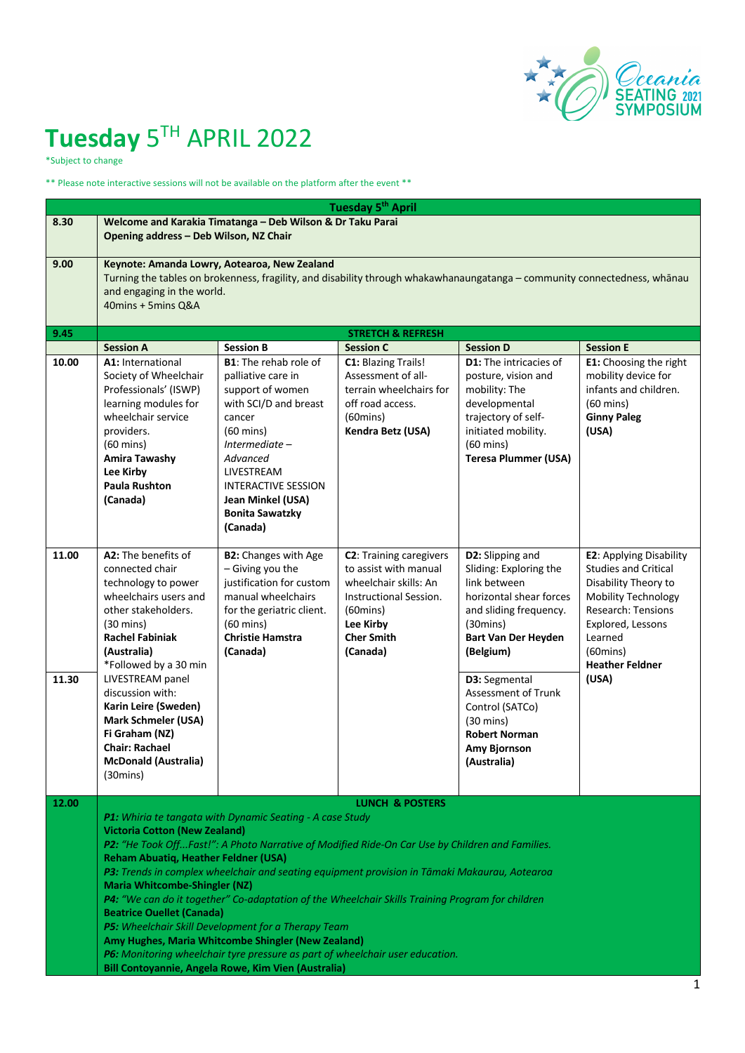

# **Tuesday** 5TH APRIL 2022

\*Subject to change

\*\* Please note interactive sessions will not be available on the platform after the event \*\*

|                | <b>Tuesday 5th April</b>                                                                                                                                                                                                                                                                                                                                                                                                                                                                                                                                                                                                                                                                                                                                                           |                                                                                                                                                                                                                                                                       |                                                                                                                                                                                 |                                                                                                                                                                                                                                                                                                                           |                                                                                                                                                                                                                                    |  |
|----------------|------------------------------------------------------------------------------------------------------------------------------------------------------------------------------------------------------------------------------------------------------------------------------------------------------------------------------------------------------------------------------------------------------------------------------------------------------------------------------------------------------------------------------------------------------------------------------------------------------------------------------------------------------------------------------------------------------------------------------------------------------------------------------------|-----------------------------------------------------------------------------------------------------------------------------------------------------------------------------------------------------------------------------------------------------------------------|---------------------------------------------------------------------------------------------------------------------------------------------------------------------------------|---------------------------------------------------------------------------------------------------------------------------------------------------------------------------------------------------------------------------------------------------------------------------------------------------------------------------|------------------------------------------------------------------------------------------------------------------------------------------------------------------------------------------------------------------------------------|--|
| 8.30           | Welcome and Karakia Timatanga - Deb Wilson & Dr Taku Parai<br>Opening address - Deb Wilson, NZ Chair                                                                                                                                                                                                                                                                                                                                                                                                                                                                                                                                                                                                                                                                               |                                                                                                                                                                                                                                                                       |                                                                                                                                                                                 |                                                                                                                                                                                                                                                                                                                           |                                                                                                                                                                                                                                    |  |
| 9.00           | Keynote: Amanda Lowry, Aotearoa, New Zealand<br>Turning the tables on brokenness, fragility, and disability through whakawhanaungatanga - community connectedness, whānau<br>and engaging in the world.<br>40mins + 5mins Q&A                                                                                                                                                                                                                                                                                                                                                                                                                                                                                                                                                      |                                                                                                                                                                                                                                                                       |                                                                                                                                                                                 |                                                                                                                                                                                                                                                                                                                           |                                                                                                                                                                                                                                    |  |
| 9.45           |                                                                                                                                                                                                                                                                                                                                                                                                                                                                                                                                                                                                                                                                                                                                                                                    |                                                                                                                                                                                                                                                                       | <b>STRETCH &amp; REFRESH</b>                                                                                                                                                    |                                                                                                                                                                                                                                                                                                                           |                                                                                                                                                                                                                                    |  |
|                | <b>Session A</b>                                                                                                                                                                                                                                                                                                                                                                                                                                                                                                                                                                                                                                                                                                                                                                   | <b>Session B</b>                                                                                                                                                                                                                                                      | <b>Session C</b>                                                                                                                                                                | <b>Session D</b>                                                                                                                                                                                                                                                                                                          | <b>Session E</b>                                                                                                                                                                                                                   |  |
| 10.00          | A1: International<br>Society of Wheelchair<br>Professionals' (ISWP)<br>learning modules for<br>wheelchair service<br>providers.<br>$(60 \text{ mins})$<br><b>Amira Tawashy</b><br>Lee Kirby<br><b>Paula Rushton</b><br>(Canada)                                                                                                                                                                                                                                                                                                                                                                                                                                                                                                                                                    | <b>B1:</b> The rehab role of<br>palliative care in<br>support of women<br>with SCI/D and breast<br>cancer<br>$(60 \text{ mins})$<br>Intermediate –<br>Advanced<br>LIVESTREAM<br><b>INTERACTIVE SESSION</b><br>Jean Minkel (USA)<br><b>Bonita Sawatzky</b><br>(Canada) | C1: Blazing Trails!<br>Assessment of all-<br>terrain wheelchairs for<br>off road access.<br>$(60 \text{mins})$<br>Kendra Betz (USA)                                             | <b>D1:</b> The intricacies of<br>posture, vision and<br>mobility: The<br>developmental<br>trajectory of self-<br>initiated mobility.<br>$(60 \text{ mins})$<br><b>Teresa Plummer (USA)</b>                                                                                                                                | E1: Choosing the right<br>mobility device for<br>infants and children.<br>$(60 \text{ mins})$<br><b>Ginny Paleg</b><br>(USA)                                                                                                       |  |
| 11.00<br>11.30 | A2: The benefits of<br>connected chair<br>technology to power<br>wheelchairs users and<br>other stakeholders.<br>$(30 \text{ mins})$<br><b>Rachel Fabiniak</b><br>(Australia)<br>*Followed by a 30 min<br>LIVESTREAM panel<br>discussion with:<br>Karin Leire (Sweden)<br><b>Mark Schmeler (USA)</b><br>Fi Graham (NZ)<br><b>Chair: Rachael</b><br><b>McDonald (Australia)</b><br>$(30 \text{mins})$                                                                                                                                                                                                                                                                                                                                                                               | <b>B2:</b> Changes with Age<br>- Giving you the<br>justification for custom<br>manual wheelchairs<br>for the geriatric client.<br>$(60 \text{ mins})$<br><b>Christie Hamstra</b><br>(Canada)                                                                          | <b>C2</b> : Training caregivers<br>to assist with manual<br>wheelchair skills: An<br>Instructional Session.<br>$(60 \text{mins})$<br>Lee Kirby<br><b>Cher Smith</b><br>(Canada) | D2: Slipping and<br>Sliding: Exploring the<br>link between<br>horizontal shear forces<br>and sliding frequency.<br>$(30 \text{mins})$<br><b>Bart Van Der Heyden</b><br>(Belgium)<br>D3: Segmental<br>Assessment of Trunk<br>Control (SATCo)<br>$(30 \text{ mins})$<br><b>Robert Norman</b><br>Amy Bjornson<br>(Australia) | <b>E2: Applying Disability</b><br><b>Studies and Critical</b><br>Disability Theory to<br>Mobility Technology<br><b>Research: Tensions</b><br>Explored, Lessons<br>Learned<br>$(60 \text{mins})$<br><b>Heather Feldner</b><br>(USA) |  |
| 12.00          |                                                                                                                                                                                                                                                                                                                                                                                                                                                                                                                                                                                                                                                                                                                                                                                    |                                                                                                                                                                                                                                                                       | <b>LUNCH &amp; POSTERS</b>                                                                                                                                                      |                                                                                                                                                                                                                                                                                                                           |                                                                                                                                                                                                                                    |  |
|                | P1: Whiria te tangata with Dynamic Seating - A case Study<br><b>Victoria Cotton (New Zealand)</b><br>P2: "He Took OffFast!": A Photo Narrative of Modified Ride-On Car Use by Children and Families.<br>Reham Abuatiq, Heather Feldner (USA)<br>P3: Trends in complex wheelchair and seating equipment provision in Tāmaki Makaurau, Aotearoa<br><b>Maria Whitcombe-Shingler (NZ)</b><br>P4: "We can do it together" Co-adaptation of the Wheelchair Skills Training Program for children<br><b>Beatrice Ouellet (Canada)</b><br>P5: Wheelchair Skill Development for a Therapy Team<br>Amy Hughes, Maria Whitcombe Shingler (New Zealand)<br>P6: Monitoring wheelchair tyre pressure as part of wheelchair user education.<br>Bill Contoyannie, Angela Rowe, Kim Vien (Australia) |                                                                                                                                                                                                                                                                       |                                                                                                                                                                                 |                                                                                                                                                                                                                                                                                                                           |                                                                                                                                                                                                                                    |  |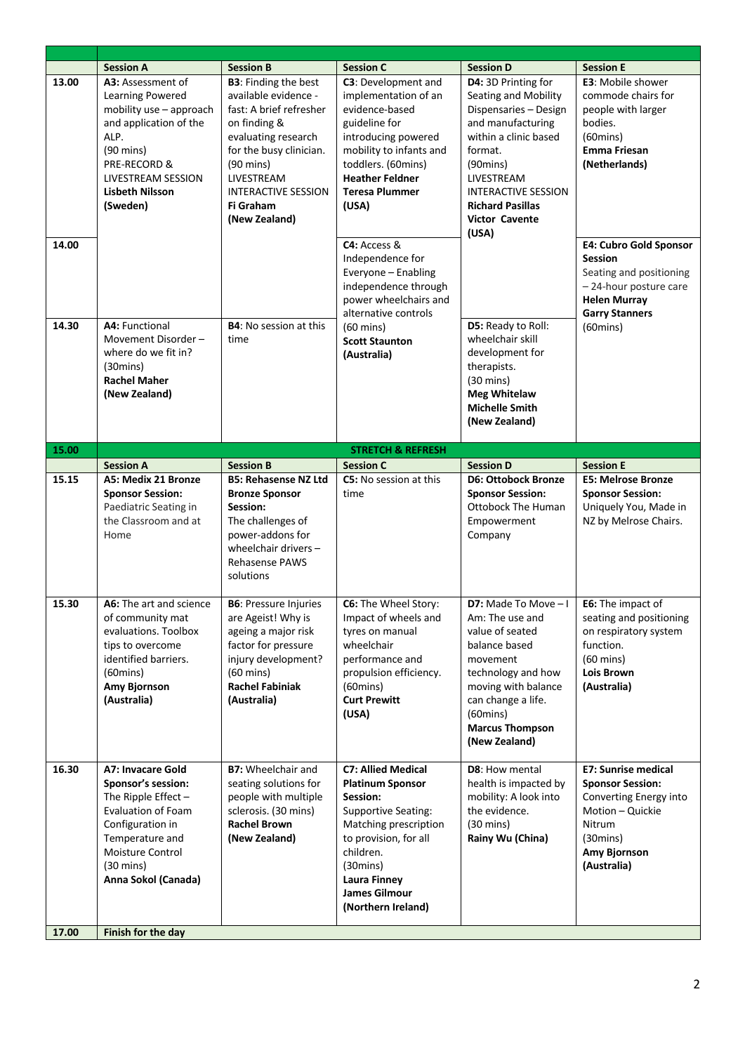|                | <b>Session A</b>                                                                                                                                                                               | <b>Session B</b>                                                                                                                                                                                                                                   | <b>Session C</b>                                                                                                                                                                                                                                       | <b>Session D</b>                                                                                                                                                                                                                                             | <b>Session E</b>                                                                                                                                                                                 |
|----------------|------------------------------------------------------------------------------------------------------------------------------------------------------------------------------------------------|----------------------------------------------------------------------------------------------------------------------------------------------------------------------------------------------------------------------------------------------------|--------------------------------------------------------------------------------------------------------------------------------------------------------------------------------------------------------------------------------------------------------|--------------------------------------------------------------------------------------------------------------------------------------------------------------------------------------------------------------------------------------------------------------|--------------------------------------------------------------------------------------------------------------------------------------------------------------------------------------------------|
| 13.00<br>14.00 | A3: Assessment of<br>Learning Powered<br>mobility use - approach<br>and application of the<br>ALP.<br>$(90 \text{ mins})$<br>PRE-RECORD &<br>LIVESTREAM SESSION<br>Lisbeth Nilsson<br>(Sweden) | <b>B3</b> : Finding the best<br>available evidence -<br>fast: A brief refresher<br>on finding &<br>evaluating research<br>for the busy clinician.<br>$(90 \text{ mins})$<br>LIVESTREAM<br><b>INTERACTIVE SESSION</b><br>Fi Graham<br>(New Zealand) | C3: Development and<br>implementation of an<br>evidence-based<br>guideline for<br>introducing powered<br>mobility to infants and<br>toddlers. (60mins)<br><b>Heather Feldner</b><br><b>Teresa Plummer</b><br>(USA)<br>C4: Access &<br>Independence for | D4: 3D Printing for<br>Seating and Mobility<br>Dispensaries - Design<br>and manufacturing<br>within a clinic based<br>format.<br>$(90 \text{mins})$<br>LIVESTREAM<br><b>INTERACTIVE SESSION</b><br><b>Richard Pasillas</b><br><b>Victor Cavente</b><br>(USA) | <b>E3:</b> Mobile shower<br>commode chairs for<br>people with larger<br>bodies.<br>$(60 \text{mins})$<br><b>Emma Friesan</b><br>(Netherlands)<br><b>E4: Cubro Gold Sponsor</b><br><b>Session</b> |
|                |                                                                                                                                                                                                |                                                                                                                                                                                                                                                    | Everyone - Enabling<br>independence through<br>power wheelchairs and<br>alternative controls                                                                                                                                                           | D5: Ready to Roll:<br>wheelchair skill<br>development for<br>therapists.<br>$(30 \text{ mins})$<br><b>Meg Whitelaw</b><br><b>Michelle Smith</b><br>(New Zealand)                                                                                             | Seating and positioning<br>-24-hour posture care<br><b>Helen Murray</b><br><b>Garry Stanners</b>                                                                                                 |
| 14.30          | A4: Functional<br>Movement Disorder-<br>where do we fit in?<br>$(30 \text{mins})$<br><b>Rachel Maher</b><br>(New Zealand)                                                                      | <b>B4:</b> No session at this<br>time                                                                                                                                                                                                              | $(60 \text{ mins})$<br><b>Scott Staunton</b><br>(Australia)                                                                                                                                                                                            |                                                                                                                                                                                                                                                              | $(60 \text{mins})$                                                                                                                                                                               |
| 15.00          |                                                                                                                                                                                                |                                                                                                                                                                                                                                                    | <b>STRETCH &amp; REFRESH</b>                                                                                                                                                                                                                           |                                                                                                                                                                                                                                                              |                                                                                                                                                                                                  |
|                | <b>Session A</b>                                                                                                                                                                               | <b>Session B</b>                                                                                                                                                                                                                                   | <b>Session C</b>                                                                                                                                                                                                                                       | <b>Session D</b>                                                                                                                                                                                                                                             | <b>Session E</b>                                                                                                                                                                                 |
| 15.15          | A5: Medix 21 Bronze<br><b>Sponsor Session:</b><br>Paediatric Seating in<br>the Classroom and at<br>Home                                                                                        | <b>B5: Rehasense NZ Ltd</b><br><b>Bronze Sponsor</b><br>Session:<br>The challenges of<br>power-addons for<br>wheelchair drivers $-$<br><b>Rehasense PAWS</b><br>solutions                                                                          | C5: No session at this<br>time                                                                                                                                                                                                                         | <b>D6: Ottobock Bronze</b><br><b>Sponsor Session:</b><br><b>Ottobock The Human</b><br>Empowerment<br>Company                                                                                                                                                 | <b>E5: Melrose Bronze</b><br><b>Sponsor Session:</b><br>Uniquely You, Made in<br>NZ by Melrose Chairs.                                                                                           |
| 15.30          | A6: The art and science<br>of community mat<br>evaluations. Toolbox<br>tips to overcome<br>identified barriers.<br>$(60 \text{mins})$<br>Amy Bjornson<br>(Australia)                           | <b>B6: Pressure Injuries</b><br>are Ageist! Why is<br>ageing a major risk<br>factor for pressure<br>injury development?<br>$(60 \text{ mins})$<br><b>Rachel Fabiniak</b><br>(Australia)                                                            | C6: The Wheel Story:<br>Impact of wheels and<br>tyres on manual<br>wheelchair<br>performance and<br>propulsion efficiency.<br>$(60 \text{mins})$<br><b>Curt Prewitt</b><br>(USA)                                                                       | <b>D7:</b> Made To Move $-1$ <b>E6:</b> The impact of<br>Am: The use and<br>value of seated<br>balance based<br>movement<br>technology and how<br>moving with balance<br>can change a life.<br>$(60 \text{mins})$<br><b>Marcus Thompson</b><br>(New Zealand) | seating and positioning<br>on respiratory system<br>function.<br>$(60 \text{ mins})$<br><b>Lois Brown</b><br>(Australia)                                                                         |
| 16.30          | A7: Invacare Gold                                                                                                                                                                              | <b>B7:</b> Wheelchair and                                                                                                                                                                                                                          | <b>C7: Allied Medical</b><br><b>Platinum Sponsor</b>                                                                                                                                                                                                   | D8: How mental<br>health is impacted by                                                                                                                                                                                                                      | <b>E7: Sunrise medical</b><br><b>Sponsor Session:</b>                                                                                                                                            |
|                | Sponsor's session:<br>The Ripple Effect $-$<br><b>Evaluation of Foam</b><br>Configuration in<br>Temperature and<br>Moisture Control<br>$(30 \text{ mins})$<br>Anna Sokol (Canada)              | seating solutions for<br>people with multiple<br>sclerosis. (30 mins)<br><b>Rachel Brown</b><br>(New Zealand)                                                                                                                                      | Session:<br><b>Supportive Seating:</b><br>Matching prescription<br>to provision, for all<br>children.<br>$(30 \text{mins})$<br>Laura Finney<br><b>James Gilmour</b><br>(Northern Ireland)                                                              | mobility: A look into<br>the evidence.<br>$(30 \text{ mins})$<br>Rainy Wu (China)                                                                                                                                                                            | Converting Energy into<br>Motion - Quickie<br>Nitrum<br>(30 mins)<br>Amy Bjornson<br>(Australia)                                                                                                 |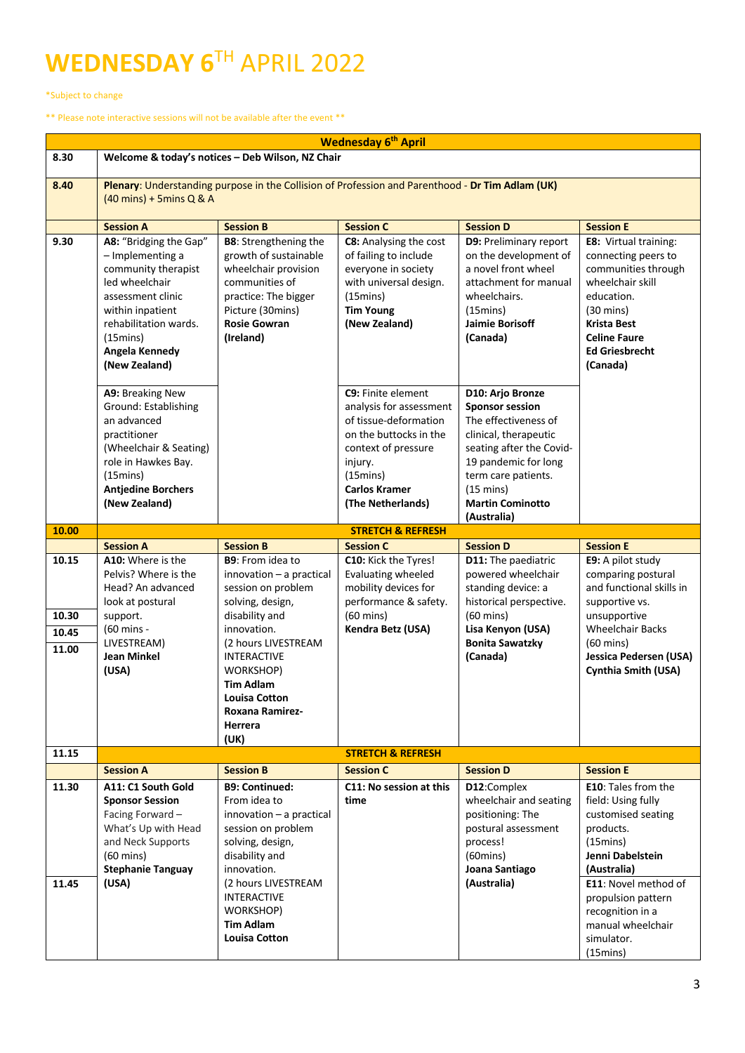## **WEDNESDAY 6**TH APRIL 2022

\*Subject to change

\*\* Please note interactive sessions will not be available after the event \*\*

| <b>Wednesday 6th April</b> |                                                                                                                                                                                                                |                                                                                                                                                                                 |                                                                                                                                                                                             |                                                                                                                                                                                                                                         |                                                                                                                                                                                                                |
|----------------------------|----------------------------------------------------------------------------------------------------------------------------------------------------------------------------------------------------------------|---------------------------------------------------------------------------------------------------------------------------------------------------------------------------------|---------------------------------------------------------------------------------------------------------------------------------------------------------------------------------------------|-----------------------------------------------------------------------------------------------------------------------------------------------------------------------------------------------------------------------------------------|----------------------------------------------------------------------------------------------------------------------------------------------------------------------------------------------------------------|
| 8.30                       | Welcome & today's notices - Deb Wilson, NZ Chair                                                                                                                                                               |                                                                                                                                                                                 |                                                                                                                                                                                             |                                                                                                                                                                                                                                         |                                                                                                                                                                                                                |
| 8.40                       | Plenary: Understanding purpose in the Collision of Profession and Parenthood - Dr Tim Adlam (UK)<br>$(40 \text{ mins}) + 5 \text{mins} Q & A$                                                                  |                                                                                                                                                                                 |                                                                                                                                                                                             |                                                                                                                                                                                                                                         |                                                                                                                                                                                                                |
|                            | <b>Session A</b>                                                                                                                                                                                               | <b>Session B</b>                                                                                                                                                                | <b>Session C</b>                                                                                                                                                                            | <b>Session D</b>                                                                                                                                                                                                                        | <b>Session E</b>                                                                                                                                                                                               |
| 9.30                       | A8: "Bridging the Gap"<br>- Implementing a<br>community therapist<br>led wheelchair<br>assessment clinic<br>within inpatient<br>rehabilitation wards.<br>$(15 \text{mins})$<br>Angela Kennedy<br>(New Zealand) | <b>B8:</b> Strengthening the<br>growth of sustainable<br>wheelchair provision<br>communities of<br>practice: The bigger<br>Picture (30mins)<br><b>Rosie Gowran</b><br>(Ireland) | C8: Analysing the cost<br>of failing to include<br>everyone in society<br>with universal design.<br>(15 mins)<br><b>Tim Young</b><br>(New Zealand)                                          | <b>D9: Preliminary report</b><br>on the development of<br>a novel front wheel<br>attachment for manual<br>wheelchairs.<br>$(15 \text{mins})$<br><b>Jaimie Borisoff</b><br>(Canada)                                                      | <b>E8:</b> Virtual training:<br>connecting peers to<br>communities through<br>wheelchair skill<br>education.<br>$(30 \text{ mins})$<br>Krista Best<br><b>Celine Faure</b><br><b>Ed Griesbrecht</b><br>(Canada) |
|                            | A9: Breaking New<br>Ground: Establishing<br>an advanced<br>practitioner<br>(Wheelchair & Seating)<br>role in Hawkes Bay.<br>$(15 \text{mins})$<br><b>Antjedine Borchers</b><br>(New Zealand)                   |                                                                                                                                                                                 | C9: Finite element<br>analysis for assessment<br>of tissue-deformation<br>on the buttocks in the<br>context of pressure<br>injury.<br>(15mins)<br><b>Carlos Kramer</b><br>(The Netherlands) | D10: Arjo Bronze<br><b>Sponsor session</b><br>The effectiveness of<br>clinical, therapeutic<br>seating after the Covid-<br>19 pandemic for long<br>term care patients.<br>$(15 \text{ mins})$<br><b>Martin Cominotto</b><br>(Australia) |                                                                                                                                                                                                                |
| 10.00                      |                                                                                                                                                                                                                |                                                                                                                                                                                 | <b>STRETCH &amp; REFRESH</b>                                                                                                                                                                |                                                                                                                                                                                                                                         |                                                                                                                                                                                                                |
|                            | <b>Session A</b>                                                                                                                                                                                               | <b>Session B</b>                                                                                                                                                                | <b>Session C</b>                                                                                                                                                                            | <b>Session D</b>                                                                                                                                                                                                                        | <b>Session E</b>                                                                                                                                                                                               |
| 10.15                      | A10: Where is the<br>Pelvis? Where is the<br>Head? An advanced<br>look at postural                                                                                                                             | <b>B9:</b> From idea to<br>innovation - a practical<br>session on problem<br>solving, design,                                                                                   | C10: Kick the Tyres!<br>Evaluating wheeled<br>mobility devices for<br>performance & safety.                                                                                                 | D11: The paediatric<br>powered wheelchair<br>standing device: a<br>historical perspective.                                                                                                                                              | E9: A pilot study<br>comparing postural<br>and functional skills in<br>supportive vs.                                                                                                                          |
| 10.30                      | support.                                                                                                                                                                                                       | disability and<br>innovation.                                                                                                                                                   | $(60 \text{ mins})$                                                                                                                                                                         | $(60 \text{ mins})$                                                                                                                                                                                                                     | unsupportive<br><b>Wheelchair Backs</b>                                                                                                                                                                        |
| 10.45                      | (60 mins -<br>LIVESTREAM)                                                                                                                                                                                      | (2 hours LIVESTREAM                                                                                                                                                             | Kendra Betz (USA)                                                                                                                                                                           | Lisa Kenyon (USA)<br><b>Bonita Sawatzky</b>                                                                                                                                                                                             | $(60 \text{ mins})$                                                                                                                                                                                            |
| 11.00                      | <b>Jean Minkel</b><br>(USA)                                                                                                                                                                                    | <b>INTERACTIVE</b><br>WORKSHOP)<br><b>Tim Adlam</b><br><b>Louisa Cotton</b><br><b>Roxana Ramirez-</b><br><b>Herrera</b><br>(UK)                                                 |                                                                                                                                                                                             | (Canada)                                                                                                                                                                                                                                | <b>Jessica Pedersen (USA)</b><br><b>Cynthia Smith (USA)</b>                                                                                                                                                    |
| 11.15                      |                                                                                                                                                                                                                |                                                                                                                                                                                 | <b>STRETCH &amp; REFRESH</b>                                                                                                                                                                |                                                                                                                                                                                                                                         |                                                                                                                                                                                                                |
|                            | <b>Session A</b>                                                                                                                                                                                               | <b>Session B</b>                                                                                                                                                                | <b>Session C</b>                                                                                                                                                                            | <b>Session D</b>                                                                                                                                                                                                                        | <b>Session E</b>                                                                                                                                                                                               |
| 11.30<br>11.45             | A11: C1 South Gold<br><b>Sponsor Session</b><br>Facing Forward -<br>What's Up with Head<br>and Neck Supports<br>$(60 \text{ mins})$<br><b>Stephanie Tanguay</b><br>(USA)                                       | <b>B9: Continued:</b><br>From idea to<br>$innovation - a practical$<br>session on problem<br>solving, design,<br>disability and<br>innovation.<br>(2 hours LIVESTREAM           | C11: No session at this<br>time                                                                                                                                                             | D12:Complex<br>wheelchair and seating<br>positioning: The<br>postural assessment<br>process!<br>$(60 \text{mins})$<br>Joana Santiago<br>(Australia)                                                                                     | <b>E10:</b> Tales from the<br>field: Using fully<br>customised seating<br>products.<br>$(15 \text{mins})$<br>Jenni Dabelstein<br>(Australia)<br>E11: Novel method of                                           |
|                            |                                                                                                                                                                                                                | <b>INTERACTIVE</b><br>WORKSHOP)<br><b>Tim Adlam</b><br><b>Louisa Cotton</b>                                                                                                     |                                                                                                                                                                                             |                                                                                                                                                                                                                                         | propulsion pattern<br>recognition in a<br>manual wheelchair<br>simulator.<br>$(15 \text{mins})$                                                                                                                |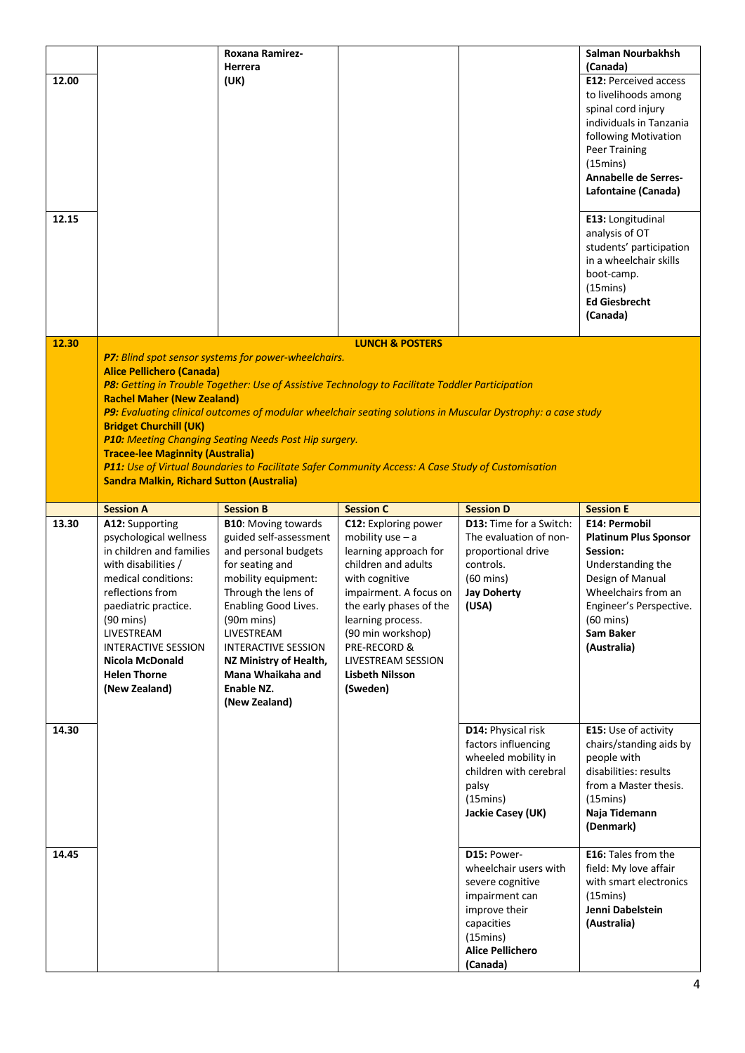|       |                                                    | Roxana Ramirez-                                                                                              |                                              |                                                    | Salman Nourbakhsh                        |
|-------|----------------------------------------------------|--------------------------------------------------------------------------------------------------------------|----------------------------------------------|----------------------------------------------------|------------------------------------------|
|       |                                                    | Herrera                                                                                                      |                                              |                                                    | (Canada)                                 |
| 12.00 |                                                    | (UK)                                                                                                         |                                              |                                                    | <b>E12: Perceived access</b>             |
|       |                                                    |                                                                                                              |                                              |                                                    | to livelihoods among                     |
|       |                                                    |                                                                                                              |                                              |                                                    | spinal cord injury                       |
|       |                                                    |                                                                                                              |                                              |                                                    | individuals in Tanzania                  |
|       |                                                    |                                                                                                              |                                              |                                                    | following Motivation                     |
|       |                                                    |                                                                                                              |                                              |                                                    | <b>Peer Training</b>                     |
|       |                                                    |                                                                                                              |                                              |                                                    | $(15 \text{mins})$                       |
|       |                                                    |                                                                                                              |                                              |                                                    | <b>Annabelle de Serres-</b>              |
|       |                                                    |                                                                                                              |                                              |                                                    | Lafontaine (Canada)                      |
|       |                                                    |                                                                                                              |                                              |                                                    |                                          |
| 12.15 |                                                    |                                                                                                              |                                              |                                                    | E13: Longitudinal                        |
|       |                                                    |                                                                                                              |                                              |                                                    | analysis of OT                           |
|       |                                                    |                                                                                                              |                                              |                                                    | students' participation                  |
|       |                                                    |                                                                                                              |                                              |                                                    | in a wheelchair skills                   |
|       |                                                    |                                                                                                              |                                              |                                                    | boot-camp.                               |
|       |                                                    |                                                                                                              |                                              |                                                    | $(15 \text{mins})$                       |
|       |                                                    |                                                                                                              |                                              |                                                    | <b>Ed Giesbrecht</b>                     |
|       |                                                    |                                                                                                              |                                              |                                                    | (Canada)                                 |
|       |                                                    |                                                                                                              |                                              |                                                    |                                          |
| 12.30 |                                                    |                                                                                                              | <b>LUNCH &amp; POSTERS</b>                   |                                                    |                                          |
|       |                                                    | P7: Blind spot sensor systems for power-wheelchairs.                                                         |                                              |                                                    |                                          |
|       | <b>Alice Pellichero (Canada)</b>                   |                                                                                                              |                                              |                                                    |                                          |
|       |                                                    | P8: Getting in Trouble Together: Use of Assistive Technology to Facilitate Toddler Participation             |                                              |                                                    |                                          |
|       | <b>Rachel Maher (New Zealand)</b>                  |                                                                                                              |                                              |                                                    |                                          |
|       |                                                    | P9: Evaluating clinical outcomes of modular wheelchair seating solutions in Muscular Dystrophy: a case study |                                              |                                                    |                                          |
|       | <b>Bridget Churchill (UK)</b>                      |                                                                                                              |                                              |                                                    |                                          |
|       |                                                    | P10: Meeting Changing Seating Needs Post Hip surgery.                                                        |                                              |                                                    |                                          |
|       | <b>Tracee-lee Maginnity (Australia)</b>            |                                                                                                              |                                              |                                                    |                                          |
|       |                                                    | P11: Use of Virtual Boundaries to Facilitate Safer Community Access: A Case Study of Customisation           |                                              |                                                    |                                          |
|       | <b>Sandra Malkin, Richard Sutton (Australia)</b>   |                                                                                                              |                                              |                                                    |                                          |
|       |                                                    |                                                                                                              |                                              |                                                    |                                          |
|       |                                                    |                                                                                                              |                                              |                                                    |                                          |
| 13.30 | <b>Session A</b>                                   | <b>Session B</b>                                                                                             | <b>Session C</b>                             | <b>Session D</b><br><b>D13:</b> Time for a Switch: | <b>Session E</b><br>E14: Permobil        |
|       | A12: Supporting                                    | <b>B10: Moving towards</b>                                                                                   | C12: Exploring power                         | The evaluation of non-                             |                                          |
|       | psychological wellness<br>in children and families | guided self-assessment                                                                                       | mobility use $- a$                           |                                                    | <b>Platinum Plus Sponsor</b><br>Session: |
|       |                                                    | and personal budgets                                                                                         | learning approach for<br>children and adults | proportional drive<br>controls.                    |                                          |
|       | with disabilities /<br>medical conditions:         | for seating and                                                                                              |                                              | $(60 \text{ mins})$                                | Understanding the                        |
|       | reflections from                                   | mobility equipment:                                                                                          | with cognitive                               |                                                    | Design of Manual<br>Wheelchairs from an  |
|       |                                                    | Through the lens of                                                                                          | impairment. A focus on                       | <b>Jay Doherty</b>                                 |                                          |
|       | paediatric practice.                               | Enabling Good Lives.                                                                                         | the early phases of the                      | (USA)                                              | Engineer's Perspective.                  |
|       | $(90 \text{ mins})$                                | $(90m \, mins)$                                                                                              | learning process.                            |                                                    | $(60 \text{ mins})$                      |
|       | LIVESTREAM                                         | LIVESTREAM                                                                                                   | (90 min workshop)                            |                                                    | Sam Baker                                |
|       | INTERACTIVE SESSION                                | <b>INTERACTIVE SESSION</b>                                                                                   | PRE-RECORD &                                 |                                                    | (Australia)                              |
|       | Nicola McDonald                                    | NZ Ministry of Health,                                                                                       | LIVESTREAM SESSION                           |                                                    |                                          |
|       | <b>Helen Thorne</b>                                | Mana Whaikaha and                                                                                            | <b>Lisbeth Nilsson</b>                       |                                                    |                                          |
|       | (New Zealand)                                      | Enable NZ.                                                                                                   | (Sweden)                                     |                                                    |                                          |
|       |                                                    | (New Zealand)                                                                                                |                                              |                                                    |                                          |
| 14.30 |                                                    |                                                                                                              |                                              | D14: Physical risk                                 | E15: Use of activity                     |
|       |                                                    |                                                                                                              |                                              |                                                    |                                          |
|       |                                                    |                                                                                                              |                                              | factors influencing                                | chairs/standing aids by                  |
|       |                                                    |                                                                                                              |                                              | wheeled mobility in                                | people with                              |
|       |                                                    |                                                                                                              |                                              | children with cerebral                             | disabilities: results                    |
|       |                                                    |                                                                                                              |                                              | palsy                                              | from a Master thesis.                    |
|       |                                                    |                                                                                                              |                                              | (15 mins)                                          | $(15 \text{mins})$                       |
|       |                                                    |                                                                                                              |                                              | Jackie Casey (UK)                                  | Naja Tidemann                            |
|       |                                                    |                                                                                                              |                                              |                                                    | (Denmark)                                |
|       |                                                    |                                                                                                              |                                              | D15: Power-                                        |                                          |
| 14.45 |                                                    |                                                                                                              |                                              |                                                    | E16: Tales from the                      |
|       |                                                    |                                                                                                              |                                              | wheelchair users with                              | field: My love affair                    |
|       |                                                    |                                                                                                              |                                              | severe cognitive                                   | with smart electronics                   |
|       |                                                    |                                                                                                              |                                              | impairment can                                     | $(15 \text{mins})$                       |
|       |                                                    |                                                                                                              |                                              | improve their                                      | Jenni Dabelstein                         |
|       |                                                    |                                                                                                              |                                              | capacities                                         | (Australia)                              |
|       |                                                    |                                                                                                              |                                              | (15 <sub>min</sub> )                               |                                          |
|       |                                                    |                                                                                                              |                                              | <b>Alice Pellichero</b><br>(Canada)                |                                          |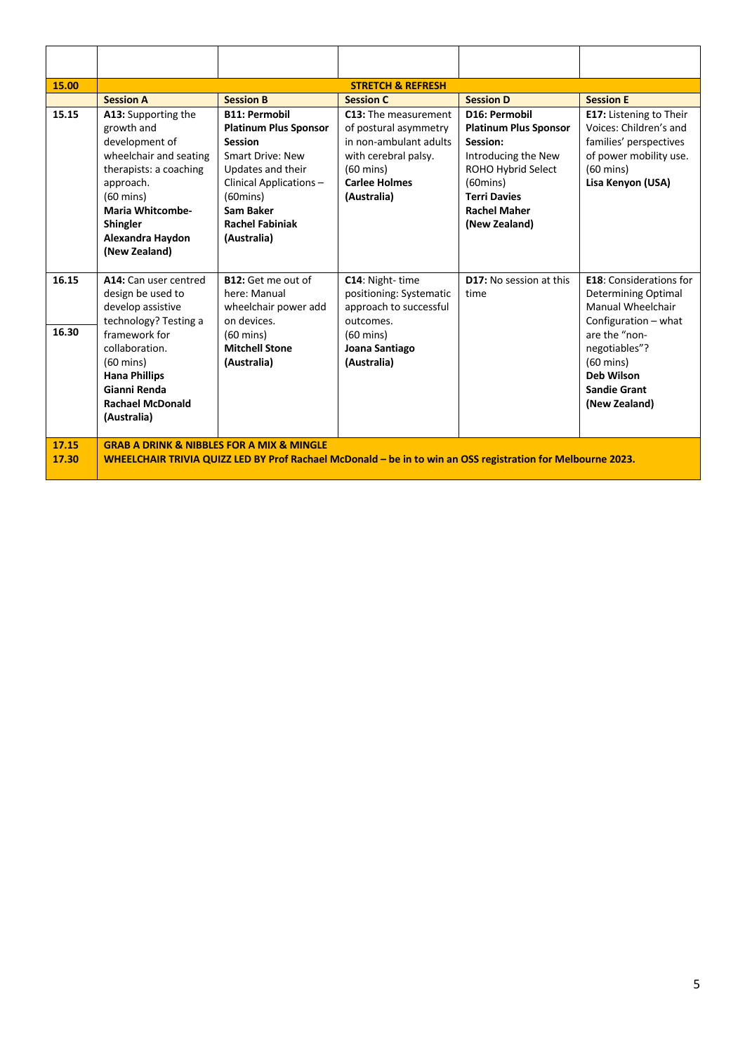| 15.00          |                                                                                                                                                                                                                                      |                                                                                                                                                                                                                                      | <b>STRETCH &amp; REFRESH</b>                                                                                                                                  |                                                                                                                                                                                             |                                                                                                                                                                                                                                 |  |
|----------------|--------------------------------------------------------------------------------------------------------------------------------------------------------------------------------------------------------------------------------------|--------------------------------------------------------------------------------------------------------------------------------------------------------------------------------------------------------------------------------------|---------------------------------------------------------------------------------------------------------------------------------------------------------------|---------------------------------------------------------------------------------------------------------------------------------------------------------------------------------------------|---------------------------------------------------------------------------------------------------------------------------------------------------------------------------------------------------------------------------------|--|
|                | <b>Session A</b>                                                                                                                                                                                                                     | <b>Session B</b>                                                                                                                                                                                                                     | <b>Session C</b>                                                                                                                                              | <b>Session D</b>                                                                                                                                                                            | <b>Session E</b>                                                                                                                                                                                                                |  |
| 15.15          | A13: Supporting the<br>growth and<br>development of<br>wheelchair and seating<br>therapists: a coaching<br>approach.<br>$(60 \text{ mins})$<br><b>Maria Whitcombe-</b><br><b>Shingler</b><br>Alexandra Haydon<br>(New Zealand)       | <b>B11: Permobil</b><br><b>Platinum Plus Sponsor</b><br><b>Session</b><br><b>Smart Drive: New</b><br>Updates and their<br>Clinical Applications -<br>$(60 \text{mins})$<br><b>Sam Baker</b><br><b>Rachel Fabiniak</b><br>(Australia) | C13: The measurement<br>of postural asymmetry<br>in non-ambulant adults<br>with cerebral palsy.<br>$(60 \text{ mins})$<br><b>Carlee Holmes</b><br>(Australia) | D16: Permobil<br><b>Platinum Plus Sponsor</b><br>Session:<br>Introducing the New<br>ROHO Hybrid Select<br>$(60 \text{mins})$<br><b>Terri Davies</b><br><b>Rachel Maher</b><br>(New Zealand) | E17: Listening to Their<br>Voices: Children's and<br>families' perspectives<br>of power mobility use.<br>$(60 \text{ mins})$<br>Lisa Kenyon (USA)                                                                               |  |
| 16.15<br>16.30 | A14: Can user centred<br>design be used to<br>develop assistive<br>technology? Testing a<br>framework for<br>collaboration.<br>$(60 \text{ mins})$<br><b>Hana Phillips</b><br>Gianni Renda<br><b>Rachael McDonald</b><br>(Australia) | B12: Get me out of<br>here: Manual<br>wheelchair power add<br>on devices.<br>$(60 \text{ mins})$<br><b>Mitchell Stone</b><br>(Australia)                                                                                             | C14: Night-time<br>positioning: Systematic<br>approach to successful<br>outcomes.<br>$(60 \text{ mins})$<br>Joana Santiago<br>(Australia)                     | D17: No session at this<br>time                                                                                                                                                             | <b>E18:</b> Considerations for<br><b>Determining Optimal</b><br>Manual Wheelchair<br>Configuration - what<br>are the "non-<br>negotiables"?<br>$(60 \text{ mins})$<br><b>Deb Wilson</b><br><b>Sandie Grant</b><br>(New Zealand) |  |
| 17.15<br>17.30 | <b>GRAB A DRINK &amp; NIBBLES FOR A MIX &amp; MINGLE</b><br>WHEELCHAIR TRIVIA QUIZZ LED BY Prof Rachael McDonald – be in to win an OSS registration for Melbourne 2023.                                                              |                                                                                                                                                                                                                                      |                                                                                                                                                               |                                                                                                                                                                                             |                                                                                                                                                                                                                                 |  |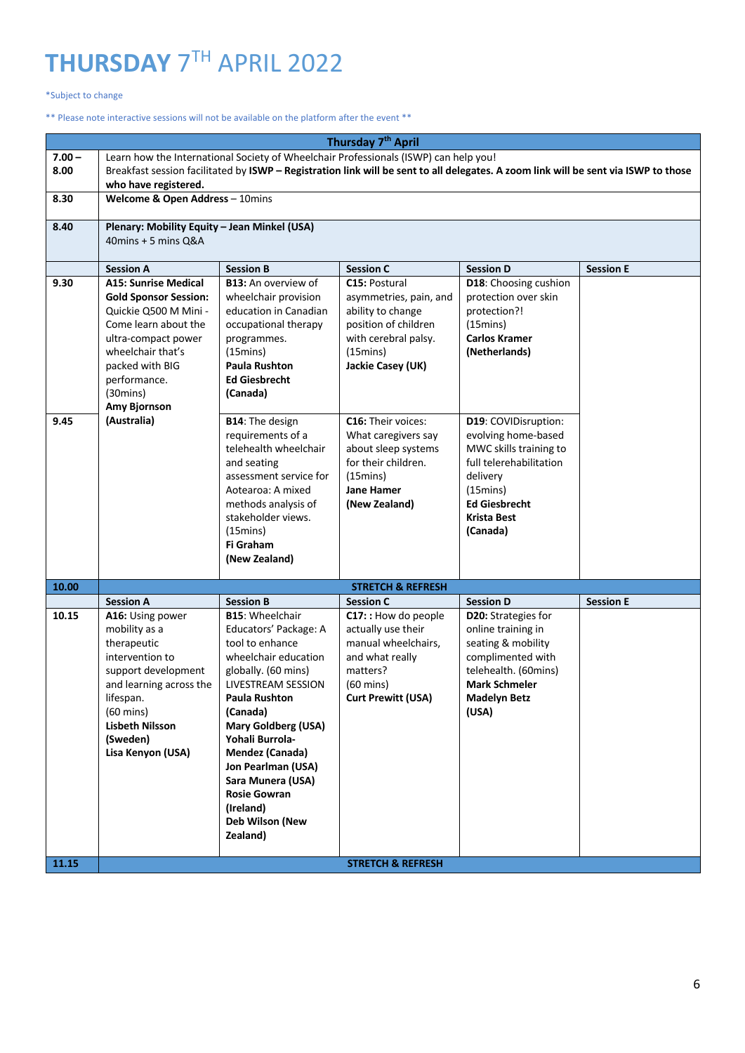## **THURSDAY** 7TH APRIL 2022

#### \*Subject to change

#### \*\* Please note interactive sessions will not be available on the platform after the event \*\*

|                  | Thursday 7 <sup>th</sup> April                                                                                                                                                                                                                      |                                                                                                                                                                                                                                                                                                                                                                            |                                                                                                                                                                                                |                                                                                                                                                                                          |                  |  |
|------------------|-----------------------------------------------------------------------------------------------------------------------------------------------------------------------------------------------------------------------------------------------------|----------------------------------------------------------------------------------------------------------------------------------------------------------------------------------------------------------------------------------------------------------------------------------------------------------------------------------------------------------------------------|------------------------------------------------------------------------------------------------------------------------------------------------------------------------------------------------|------------------------------------------------------------------------------------------------------------------------------------------------------------------------------------------|------------------|--|
| $7.00 -$<br>8.00 | Learn how the International Society of Wheelchair Professionals (ISWP) can help you!<br>Breakfast session facilitated by ISWP - Registration link will be sent to all delegates. A zoom link will be sent via ISWP to those<br>who have registered. |                                                                                                                                                                                                                                                                                                                                                                            |                                                                                                                                                                                                |                                                                                                                                                                                          |                  |  |
| 8.30             | Welcome & Open Address - 10mins                                                                                                                                                                                                                     |                                                                                                                                                                                                                                                                                                                                                                            |                                                                                                                                                                                                |                                                                                                                                                                                          |                  |  |
| 8.40             | Plenary: Mobility Equity - Jean Minkel (USA)<br>40mins + 5 mins Q&A                                                                                                                                                                                 |                                                                                                                                                                                                                                                                                                                                                                            |                                                                                                                                                                                                |                                                                                                                                                                                          |                  |  |
|                  | <b>Session A</b>                                                                                                                                                                                                                                    | <b>Session B</b>                                                                                                                                                                                                                                                                                                                                                           | <b>Session C</b>                                                                                                                                                                               | <b>Session D</b>                                                                                                                                                                         | <b>Session E</b> |  |
| 9.30<br>9.45     | <b>A15: Sunrise Medical</b><br><b>Gold Sponsor Session:</b><br>Quickie Q500 M Mini -<br>Come learn about the<br>ultra-compact power<br>wheelchair that's<br>packed with BIG<br>performance.<br>(30 mins)<br>Amy Bjornson<br>(Australia)             | <b>B13:</b> An overview of<br>wheelchair provision<br>education in Canadian<br>occupational therapy<br>programmes.<br>$(15 \text{mins})$<br><b>Paula Rushton</b><br><b>Ed Giesbrecht</b><br>(Canada)<br>B14: The design                                                                                                                                                    | C15: Postural<br>asymmetries, pain, and<br>ability to change<br>position of children<br>with cerebral palsy.<br>$(15 \text{mins})$<br>Jackie Casey (UK)<br>C16: Their voices:                  | D18: Choosing cushion<br>protection over skin<br>protection?!<br>(15mins)<br><b>Carlos Kramer</b><br>(Netherlands)<br>D19: COVIDisruption:                                               |                  |  |
|                  |                                                                                                                                                                                                                                                     | requirements of a<br>telehealth wheelchair<br>and seating<br>assessment service for<br>Aotearoa: A mixed<br>methods analysis of<br>stakeholder views.<br>$(15 \text{mins})$<br>Fi Graham<br>(New Zealand)                                                                                                                                                                  | What caregivers say<br>about sleep systems<br>for their children.<br>$(15 \text{mins})$<br><b>Jane Hamer</b><br>(New Zealand)                                                                  | evolving home-based<br>MWC skills training to<br>full telerehabilitation<br>delivery<br>(15mins)<br><b>Ed Giesbrecht</b><br><b>Krista Best</b><br>(Canada)                               |                  |  |
| 10.00            |                                                                                                                                                                                                                                                     |                                                                                                                                                                                                                                                                                                                                                                            | <b>STRETCH &amp; REFRESH</b>                                                                                                                                                                   |                                                                                                                                                                                          |                  |  |
| 10.15<br>11.15   | <b>Session A</b><br>A16: Using power<br>mobility as a<br>therapeutic<br>intervention to<br>support development<br>and learning across the<br>lifespan.<br>$(60 \text{ mins})$<br><b>Lisbeth Nilsson</b><br>(Sweden)<br>Lisa Kenyon (USA)            | <b>Session B</b><br><b>B15: Wheelchair</b><br>Educators' Package: A<br>tool to enhance<br>wheelchair education<br>globally. (60 mins)<br>LIVESTREAM SESSION<br>Paula Rushton<br>(Canada)<br><b>Mary Goldberg (USA)</b><br>Yohali Burrola-<br>Mendez (Canada)<br>Jon Pearlman (USA)<br>Sara Munera (USA)<br><b>Rosie Gowran</b><br>(Ireland)<br>Deb Wilson (New<br>Zealand) | <b>Session C</b><br>C17: : How do people<br>actually use their<br>manual wheelchairs,<br>and what really<br>matters?<br>(60 mins)<br><b>Curt Prewitt (USA)</b><br><b>STRETCH &amp; REFRESH</b> | <b>Session D</b><br>D20: Strategies for<br>online training in<br>seating & mobility<br>complimented with<br>telehealth. (60mins)<br><b>Mark Schmeler</b><br><b>Madelyn Betz</b><br>(USA) | <b>Session E</b> |  |
|                  |                                                                                                                                                                                                                                                     |                                                                                                                                                                                                                                                                                                                                                                            |                                                                                                                                                                                                |                                                                                                                                                                                          |                  |  |